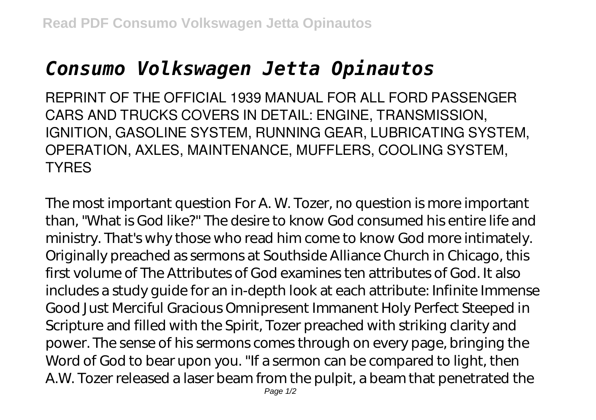## *Consumo Volkswagen Jetta Opinautos*

REPRINT OF THE OFFICIAL 1939 MANUAL FOR ALL FORD PASSENGER CARS AND TRUCKS COVERS IN DETAIL: ENGINE, TRANSMISSION, IGNITION, GASOLINE SYSTEM, RUNNING GEAR, LUBRICATING SYSTEM, OPERATION, AXLES, MAINTENANCE, MUFFLERS, COOLING SYSTEM, **TYRES** 

The most important question For A. W. Tozer, no question is more important than, "What is God like?" The desire to know God consumed his entire life and ministry. That's why those who read him come to know God more intimately. Originally preached as sermons at Southside Alliance Church in Chicago, this first volume of The Attributes of God examines ten attributes of God. It also includes a study guide for an in-depth look at each attribute: Infinite Immense Good Just Merciful Gracious Omnipresent Immanent Holy Perfect Steeped in Scripture and filled with the Spirit, Tozer preached with striking clarity and power. The sense of his sermons comes through on every page, bringing the Word of God to bear upon you. "If a sermon can be compared to light, then A.W. Tozer released a laser beam from the pulpit, a beam that penetrated the